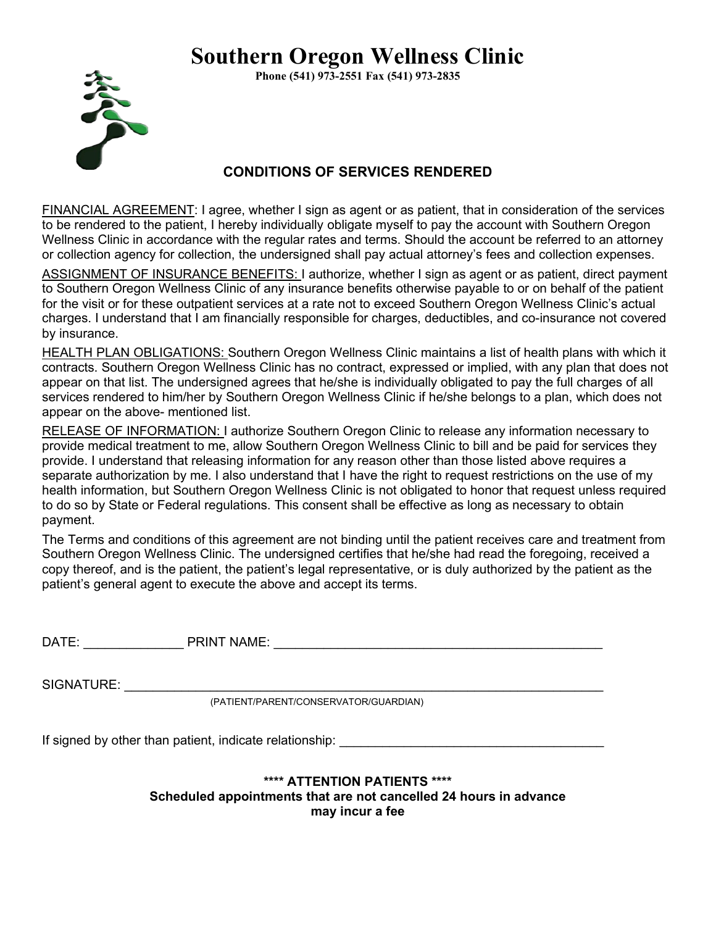# **Southern Oregon Wellness Clinic**

**Phone (541) 973-2551 Fax (541) 973-2835**



#### **CONDITIONS OF SERVICES RENDERED**

FINANCIAL AGREEMENT: I agree, whether I sign as agent or as patient, that in consideration of the services to be rendered to the patient, I hereby individually obligate myself to pay the account with Southern Oregon Wellness Clinic in accordance with the regular rates and terms. Should the account be referred to an attorney or collection agency for collection, the undersigned shall pay actual attorney's fees and collection expenses.

ASSIGNMENT OF INSURANCE BENEFITS: I authorize, whether I sign as agent or as patient, direct payment to Southern Oregon Wellness Clinic of any insurance benefits otherwise payable to or on behalf of the patient for the visit or for these outpatient services at a rate not to exceed Southern Oregon Wellness Clinic's actual charges. I understand that I am financially responsible for charges, deductibles, and co-insurance not covered by insurance.

HEALTH PLAN OBLIGATIONS: Southern Oregon Wellness Clinic maintains a list of health plans with which it contracts. Southern Oregon Wellness Clinic has no contract, expressed or implied, with any plan that does not appear on that list. The undersigned agrees that he/she is individually obligated to pay the full charges of all services rendered to him/her by Southern Oregon Wellness Clinic if he/she belongs to a plan, which does not appear on the above- mentioned list.

RELEASE OF INFORMATION: I authorize Southern Oregon Clinic to release any information necessary to provide medical treatment to me, allow Southern Oregon Wellness Clinic to bill and be paid for services they provide. I understand that releasing information for any reason other than those listed above requires a separate authorization by me. I also understand that I have the right to request restrictions on the use of my health information, but Southern Oregon Wellness Clinic is not obligated to honor that request unless required to do so by State or Federal regulations. This consent shall be effective as long as necessary to obtain payment.

The Terms and conditions of this agreement are not binding until the patient receives care and treatment from Southern Oregon Wellness Clinic. The undersigned certifies that he/she had read the foregoing, received a copy thereof, and is the patient, the patient's legal representative, or is duly authorized by the patient as the patient's general agent to execute the above and accept its terms.

| DATE | .<br>PRINT<br>™NAME. |  |
|------|----------------------|--|
|      |                      |  |

SIGNATURE:

(PATIENT/PARENT/CONSERVATOR/GUARDIAN)

If signed by other than patient, indicate relationship:

#### **\*\*\*\* ATTENTION PATIENTS \*\*\*\* Scheduled appointments that are not cancelled 24 hours in advance may incur a fee**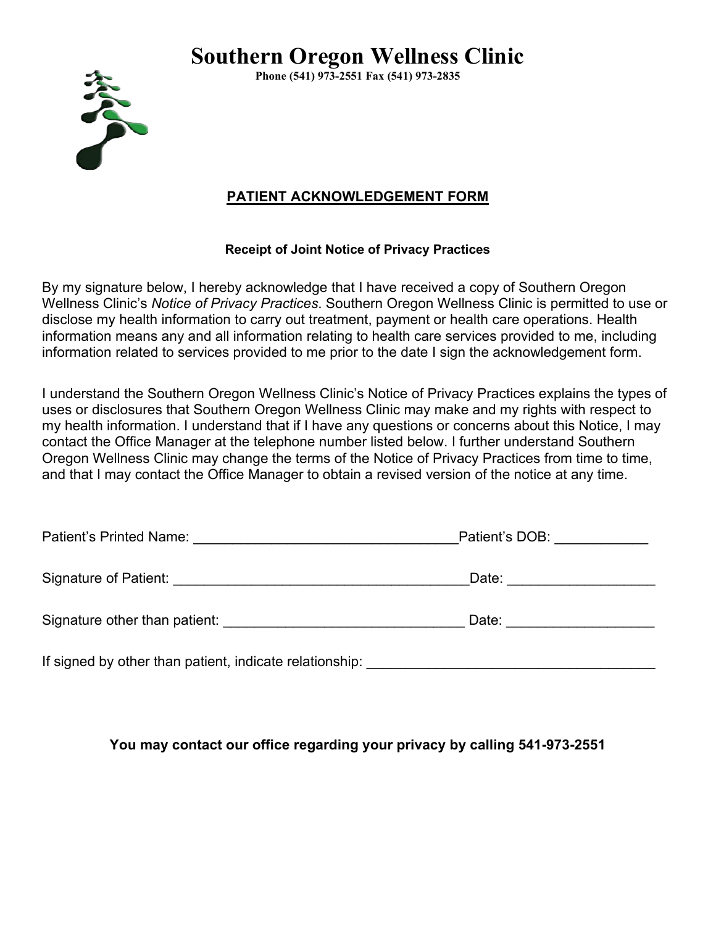## **Southern Oregon Wellness Clinic**



**Phone (541) 973-2551 Fax (541) 973-2835**

#### **PATIENT ACKNOWLEDGEMENT FORM**

#### **Receipt of Joint Notice of Privacy Practices**

By my signature below, I hereby acknowledge that I have received a copy of Southern Oregon Wellness Clinic's *Notice of Privacy Practices*. Southern Oregon Wellness Clinic is permitted to use or disclose my health information to carry out treatment, payment or health care operations. Health information means any and all information relating to health care services provided to me, including information related to services provided to me prior to the date I sign the acknowledgement form.

I understand the Southern Oregon Wellness Clinic's Notice of Privacy Practices explains the types of uses or disclosures that Southern Oregon Wellness Clinic may make and my rights with respect to my health information. I understand that if I have any questions or concerns about this Notice, I may contact the Office Manager at the telephone number listed below. I further understand Southern Oregon Wellness Clinic may change the terms of the Notice of Privacy Practices from time to time, and that I may contact the Office Manager to obtain a revised version of the notice at any time.

| Patient's Printed Name: <u>___________________________</u>                                                             |       |
|------------------------------------------------------------------------------------------------------------------------|-------|
| Signature of Patient: <u>Communications</u> Communications Communications Communications Communications Communications | Date: |
| Signature other than patient:                                                                                          | Date: |
| If signed by other than patient, indicate relationship:                                                                |       |

**You may contact our office regarding your privacy by calling 541-973-2551**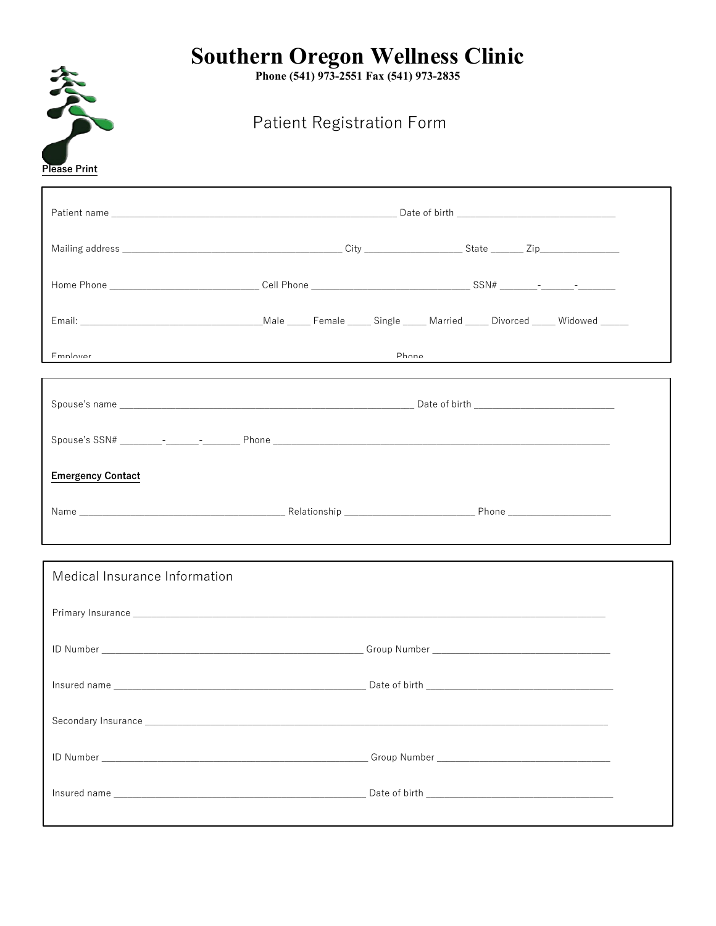# Southern Oregon Wellness Clinic<br>Phone (541) 973-2551 Fax (541) 973-2835

Patient Registration Form

参考

| Please Print                                                           |  |               |  |  |  |  |
|------------------------------------------------------------------------|--|---------------|--|--|--|--|
|                                                                        |  |               |  |  |  |  |
|                                                                        |  |               |  |  |  |  |
|                                                                        |  |               |  |  |  |  |
|                                                                        |  |               |  |  |  |  |
| Fmnlovar<br><u> 1980 - Johann Stoff, amerikansk politiker (* 1900)</u> |  | <b>Dhona</b>  |  |  |  |  |
|                                                                        |  |               |  |  |  |  |
|                                                                        |  |               |  |  |  |  |
| <b>Emergency Contact</b>                                               |  |               |  |  |  |  |
|                                                                        |  |               |  |  |  |  |
| Medical Insurance Information                                          |  |               |  |  |  |  |
|                                                                        |  |               |  |  |  |  |
|                                                                        |  |               |  |  |  |  |
| Insured name                                                           |  | Date of birth |  |  |  |  |
|                                                                        |  |               |  |  |  |  |
|                                                                        |  |               |  |  |  |  |
|                                                                        |  |               |  |  |  |  |
|                                                                        |  |               |  |  |  |  |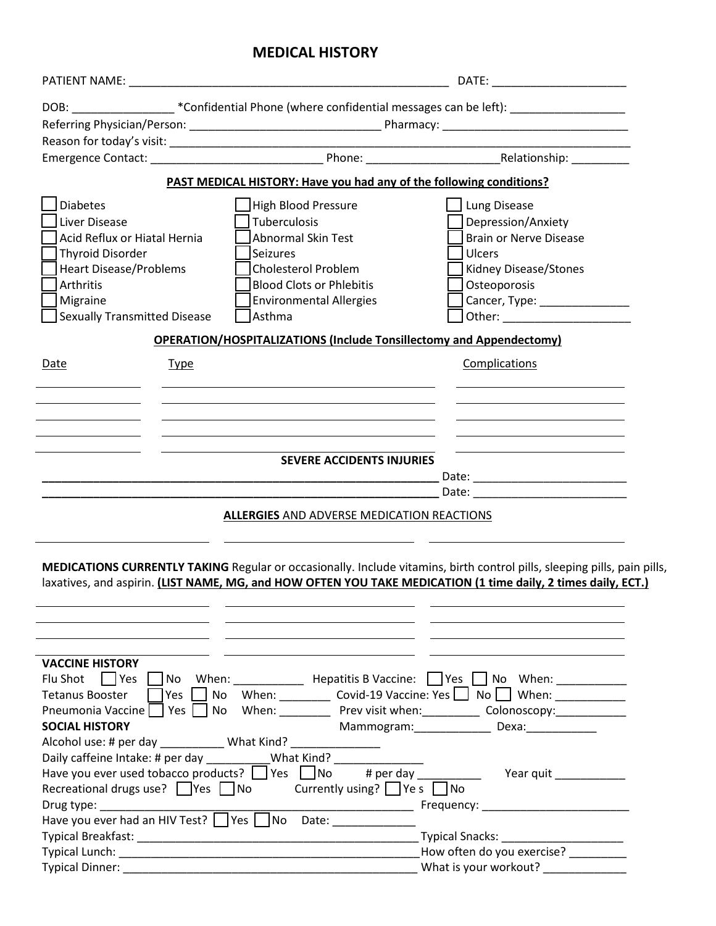## **MEDICAL HISTORY**

| DOB: __________________*Confidential Phone (where confidential messages can be left): ____________________<br>PAST MEDICAL HISTORY: Have you had any of the following conditions?<br><b>Diabetes</b><br>High Blood Pressure<br>Lung Disease<br>Liver Disease<br>Tuberculosis<br>Depression/Anxiety<br>Acid Reflux or Hiatal Hernia<br>Abnormal Skin Test<br><b>Brain or Nerve Disease</b><br><b>Thyroid Disorder</b><br><b>Seizures</b><br>Ulcers<br><b>Heart Disease/Problems</b><br><b>Cholesterol Problem</b><br>Kidney Disease/Stones<br><b>Blood Clots or Phlebitis</b><br>Arthritis<br>Osteoporosis<br>Migraine<br><b>Environmental Allergies</b><br>Cancer, Type: _________________<br><b>Sexually Transmitted Disease</b><br>Asthma<br><b>OPERATION/HOSPITALIZATIONS (Include Tonsillectomy and Appendectomy)</b><br>Complications<br>Date<br><b>Type</b><br><b>SEVERE ACCIDENTS INJURIES</b><br>Date: <u>________________________</u><br><b>ALLERGIES AND ADVERSE MEDICATION REACTIONS</b><br>MEDICATIONS CURRENTLY TAKING Regular or occasionally. Include vitamins, birth control pills, sleeping pills, pain pills,<br>laxatives, and aspirin. (LIST NAME, MG, and HOW OFTEN YOU TAKE MEDICATION (1 time daily, 2 times daily, ECT.)<br><b>VACCINE HISTORY</b><br>No When: Hepatitis B Vaccine: Yes No When:<br>Flu Shot<br>$ $   Yes<br>When: ___________ Covid-19 Vaccine: Yes $\bigsqcup$ No $\bigsqcup$ When: __________________<br>Yes<br>No<br><b>Tetanus Booster</b><br>Yes  <br>When: ___________ Prev visit when: ___________ Colonoscopy: ____________<br>Pneumonia Vaccine<br>No<br><b>SOCIAL HISTORY</b><br>Mammogram: Dexa: Dexa:<br>Alcohol use: # per day Mhat Kind?<br>Daily caffeine Intake: # per day<br>What Kind?<br>Have you ever used tobacco products? $\Box$ Yes $\Box$ No<br># per day<br>Year quit<br>Recreational drugs use?   $\vert$ Yes   $\vert$ No Currently using?   $\vert$ Ye s   $\vert$ No<br>Drug type:<br>Frequency: __________________________<br>Have you ever had an HIV Test? Pes No Date: 1990 No Date:<br>Typical Snacks: ________________________<br>What is your workout?<br>Typical Dinner: National Accounts and Accounts and Accounts and Accounts and Accounts and Accounts and Accounts and Accounts and Accounts and Accounts and Accounts and Accounts and Accounts and Accounts and Accounts and Ac |  |  |  |  |  |
|------------------------------------------------------------------------------------------------------------------------------------------------------------------------------------------------------------------------------------------------------------------------------------------------------------------------------------------------------------------------------------------------------------------------------------------------------------------------------------------------------------------------------------------------------------------------------------------------------------------------------------------------------------------------------------------------------------------------------------------------------------------------------------------------------------------------------------------------------------------------------------------------------------------------------------------------------------------------------------------------------------------------------------------------------------------------------------------------------------------------------------------------------------------------------------------------------------------------------------------------------------------------------------------------------------------------------------------------------------------------------------------------------------------------------------------------------------------------------------------------------------------------------------------------------------------------------------------------------------------------------------------------------------------------------------------------------------------------------------------------------------------------------------------------------------------------------------------------------------------------------------------------------------------------------------------------------------------------------------------------------------------------------------------------------------------------------------------------------------------------------------------------------------------------------------------------------------------------------------------------------------------------------------------------------------------------------------------------------------------------|--|--|--|--|--|
|                                                                                                                                                                                                                                                                                                                                                                                                                                                                                                                                                                                                                                                                                                                                                                                                                                                                                                                                                                                                                                                                                                                                                                                                                                                                                                                                                                                                                                                                                                                                                                                                                                                                                                                                                                                                                                                                                                                                                                                                                                                                                                                                                                                                                                                                                                                                                                        |  |  |  |  |  |
|                                                                                                                                                                                                                                                                                                                                                                                                                                                                                                                                                                                                                                                                                                                                                                                                                                                                                                                                                                                                                                                                                                                                                                                                                                                                                                                                                                                                                                                                                                                                                                                                                                                                                                                                                                                                                                                                                                                                                                                                                                                                                                                                                                                                                                                                                                                                                                        |  |  |  |  |  |
|                                                                                                                                                                                                                                                                                                                                                                                                                                                                                                                                                                                                                                                                                                                                                                                                                                                                                                                                                                                                                                                                                                                                                                                                                                                                                                                                                                                                                                                                                                                                                                                                                                                                                                                                                                                                                                                                                                                                                                                                                                                                                                                                                                                                                                                                                                                                                                        |  |  |  |  |  |
|                                                                                                                                                                                                                                                                                                                                                                                                                                                                                                                                                                                                                                                                                                                                                                                                                                                                                                                                                                                                                                                                                                                                                                                                                                                                                                                                                                                                                                                                                                                                                                                                                                                                                                                                                                                                                                                                                                                                                                                                                                                                                                                                                                                                                                                                                                                                                                        |  |  |  |  |  |
|                                                                                                                                                                                                                                                                                                                                                                                                                                                                                                                                                                                                                                                                                                                                                                                                                                                                                                                                                                                                                                                                                                                                                                                                                                                                                                                                                                                                                                                                                                                                                                                                                                                                                                                                                                                                                                                                                                                                                                                                                                                                                                                                                                                                                                                                                                                                                                        |  |  |  |  |  |
|                                                                                                                                                                                                                                                                                                                                                                                                                                                                                                                                                                                                                                                                                                                                                                                                                                                                                                                                                                                                                                                                                                                                                                                                                                                                                                                                                                                                                                                                                                                                                                                                                                                                                                                                                                                                                                                                                                                                                                                                                                                                                                                                                                                                                                                                                                                                                                        |  |  |  |  |  |
|                                                                                                                                                                                                                                                                                                                                                                                                                                                                                                                                                                                                                                                                                                                                                                                                                                                                                                                                                                                                                                                                                                                                                                                                                                                                                                                                                                                                                                                                                                                                                                                                                                                                                                                                                                                                                                                                                                                                                                                                                                                                                                                                                                                                                                                                                                                                                                        |  |  |  |  |  |
|                                                                                                                                                                                                                                                                                                                                                                                                                                                                                                                                                                                                                                                                                                                                                                                                                                                                                                                                                                                                                                                                                                                                                                                                                                                                                                                                                                                                                                                                                                                                                                                                                                                                                                                                                                                                                                                                                                                                                                                                                                                                                                                                                                                                                                                                                                                                                                        |  |  |  |  |  |
|                                                                                                                                                                                                                                                                                                                                                                                                                                                                                                                                                                                                                                                                                                                                                                                                                                                                                                                                                                                                                                                                                                                                                                                                                                                                                                                                                                                                                                                                                                                                                                                                                                                                                                                                                                                                                                                                                                                                                                                                                                                                                                                                                                                                                                                                                                                                                                        |  |  |  |  |  |
|                                                                                                                                                                                                                                                                                                                                                                                                                                                                                                                                                                                                                                                                                                                                                                                                                                                                                                                                                                                                                                                                                                                                                                                                                                                                                                                                                                                                                                                                                                                                                                                                                                                                                                                                                                                                                                                                                                                                                                                                                                                                                                                                                                                                                                                                                                                                                                        |  |  |  |  |  |
|                                                                                                                                                                                                                                                                                                                                                                                                                                                                                                                                                                                                                                                                                                                                                                                                                                                                                                                                                                                                                                                                                                                                                                                                                                                                                                                                                                                                                                                                                                                                                                                                                                                                                                                                                                                                                                                                                                                                                                                                                                                                                                                                                                                                                                                                                                                                                                        |  |  |  |  |  |
|                                                                                                                                                                                                                                                                                                                                                                                                                                                                                                                                                                                                                                                                                                                                                                                                                                                                                                                                                                                                                                                                                                                                                                                                                                                                                                                                                                                                                                                                                                                                                                                                                                                                                                                                                                                                                                                                                                                                                                                                                                                                                                                                                                                                                                                                                                                                                                        |  |  |  |  |  |
|                                                                                                                                                                                                                                                                                                                                                                                                                                                                                                                                                                                                                                                                                                                                                                                                                                                                                                                                                                                                                                                                                                                                                                                                                                                                                                                                                                                                                                                                                                                                                                                                                                                                                                                                                                                                                                                                                                                                                                                                                                                                                                                                                                                                                                                                                                                                                                        |  |  |  |  |  |
|                                                                                                                                                                                                                                                                                                                                                                                                                                                                                                                                                                                                                                                                                                                                                                                                                                                                                                                                                                                                                                                                                                                                                                                                                                                                                                                                                                                                                                                                                                                                                                                                                                                                                                                                                                                                                                                                                                                                                                                                                                                                                                                                                                                                                                                                                                                                                                        |  |  |  |  |  |
|                                                                                                                                                                                                                                                                                                                                                                                                                                                                                                                                                                                                                                                                                                                                                                                                                                                                                                                                                                                                                                                                                                                                                                                                                                                                                                                                                                                                                                                                                                                                                                                                                                                                                                                                                                                                                                                                                                                                                                                                                                                                                                                                                                                                                                                                                                                                                                        |  |  |  |  |  |
|                                                                                                                                                                                                                                                                                                                                                                                                                                                                                                                                                                                                                                                                                                                                                                                                                                                                                                                                                                                                                                                                                                                                                                                                                                                                                                                                                                                                                                                                                                                                                                                                                                                                                                                                                                                                                                                                                                                                                                                                                                                                                                                                                                                                                                                                                                                                                                        |  |  |  |  |  |
|                                                                                                                                                                                                                                                                                                                                                                                                                                                                                                                                                                                                                                                                                                                                                                                                                                                                                                                                                                                                                                                                                                                                                                                                                                                                                                                                                                                                                                                                                                                                                                                                                                                                                                                                                                                                                                                                                                                                                                                                                                                                                                                                                                                                                                                                                                                                                                        |  |  |  |  |  |
|                                                                                                                                                                                                                                                                                                                                                                                                                                                                                                                                                                                                                                                                                                                                                                                                                                                                                                                                                                                                                                                                                                                                                                                                                                                                                                                                                                                                                                                                                                                                                                                                                                                                                                                                                                                                                                                                                                                                                                                                                                                                                                                                                                                                                                                                                                                                                                        |  |  |  |  |  |
|                                                                                                                                                                                                                                                                                                                                                                                                                                                                                                                                                                                                                                                                                                                                                                                                                                                                                                                                                                                                                                                                                                                                                                                                                                                                                                                                                                                                                                                                                                                                                                                                                                                                                                                                                                                                                                                                                                                                                                                                                                                                                                                                                                                                                                                                                                                                                                        |  |  |  |  |  |
|                                                                                                                                                                                                                                                                                                                                                                                                                                                                                                                                                                                                                                                                                                                                                                                                                                                                                                                                                                                                                                                                                                                                                                                                                                                                                                                                                                                                                                                                                                                                                                                                                                                                                                                                                                                                                                                                                                                                                                                                                                                                                                                                                                                                                                                                                                                                                                        |  |  |  |  |  |
|                                                                                                                                                                                                                                                                                                                                                                                                                                                                                                                                                                                                                                                                                                                                                                                                                                                                                                                                                                                                                                                                                                                                                                                                                                                                                                                                                                                                                                                                                                                                                                                                                                                                                                                                                                                                                                                                                                                                                                                                                                                                                                                                                                                                                                                                                                                                                                        |  |  |  |  |  |
|                                                                                                                                                                                                                                                                                                                                                                                                                                                                                                                                                                                                                                                                                                                                                                                                                                                                                                                                                                                                                                                                                                                                                                                                                                                                                                                                                                                                                                                                                                                                                                                                                                                                                                                                                                                                                                                                                                                                                                                                                                                                                                                                                                                                                                                                                                                                                                        |  |  |  |  |  |
|                                                                                                                                                                                                                                                                                                                                                                                                                                                                                                                                                                                                                                                                                                                                                                                                                                                                                                                                                                                                                                                                                                                                                                                                                                                                                                                                                                                                                                                                                                                                                                                                                                                                                                                                                                                                                                                                                                                                                                                                                                                                                                                                                                                                                                                                                                                                                                        |  |  |  |  |  |
|                                                                                                                                                                                                                                                                                                                                                                                                                                                                                                                                                                                                                                                                                                                                                                                                                                                                                                                                                                                                                                                                                                                                                                                                                                                                                                                                                                                                                                                                                                                                                                                                                                                                                                                                                                                                                                                                                                                                                                                                                                                                                                                                                                                                                                                                                                                                                                        |  |  |  |  |  |
|                                                                                                                                                                                                                                                                                                                                                                                                                                                                                                                                                                                                                                                                                                                                                                                                                                                                                                                                                                                                                                                                                                                                                                                                                                                                                                                                                                                                                                                                                                                                                                                                                                                                                                                                                                                                                                                                                                                                                                                                                                                                                                                                                                                                                                                                                                                                                                        |  |  |  |  |  |
|                                                                                                                                                                                                                                                                                                                                                                                                                                                                                                                                                                                                                                                                                                                                                                                                                                                                                                                                                                                                                                                                                                                                                                                                                                                                                                                                                                                                                                                                                                                                                                                                                                                                                                                                                                                                                                                                                                                                                                                                                                                                                                                                                                                                                                                                                                                                                                        |  |  |  |  |  |
|                                                                                                                                                                                                                                                                                                                                                                                                                                                                                                                                                                                                                                                                                                                                                                                                                                                                                                                                                                                                                                                                                                                                                                                                                                                                                                                                                                                                                                                                                                                                                                                                                                                                                                                                                                                                                                                                                                                                                                                                                                                                                                                                                                                                                                                                                                                                                                        |  |  |  |  |  |
|                                                                                                                                                                                                                                                                                                                                                                                                                                                                                                                                                                                                                                                                                                                                                                                                                                                                                                                                                                                                                                                                                                                                                                                                                                                                                                                                                                                                                                                                                                                                                                                                                                                                                                                                                                                                                                                                                                                                                                                                                                                                                                                                                                                                                                                                                                                                                                        |  |  |  |  |  |
|                                                                                                                                                                                                                                                                                                                                                                                                                                                                                                                                                                                                                                                                                                                                                                                                                                                                                                                                                                                                                                                                                                                                                                                                                                                                                                                                                                                                                                                                                                                                                                                                                                                                                                                                                                                                                                                                                                                                                                                                                                                                                                                                                                                                                                                                                                                                                                        |  |  |  |  |  |
|                                                                                                                                                                                                                                                                                                                                                                                                                                                                                                                                                                                                                                                                                                                                                                                                                                                                                                                                                                                                                                                                                                                                                                                                                                                                                                                                                                                                                                                                                                                                                                                                                                                                                                                                                                                                                                                                                                                                                                                                                                                                                                                                                                                                                                                                                                                                                                        |  |  |  |  |  |
|                                                                                                                                                                                                                                                                                                                                                                                                                                                                                                                                                                                                                                                                                                                                                                                                                                                                                                                                                                                                                                                                                                                                                                                                                                                                                                                                                                                                                                                                                                                                                                                                                                                                                                                                                                                                                                                                                                                                                                                                                                                                                                                                                                                                                                                                                                                                                                        |  |  |  |  |  |
|                                                                                                                                                                                                                                                                                                                                                                                                                                                                                                                                                                                                                                                                                                                                                                                                                                                                                                                                                                                                                                                                                                                                                                                                                                                                                                                                                                                                                                                                                                                                                                                                                                                                                                                                                                                                                                                                                                                                                                                                                                                                                                                                                                                                                                                                                                                                                                        |  |  |  |  |  |
|                                                                                                                                                                                                                                                                                                                                                                                                                                                                                                                                                                                                                                                                                                                                                                                                                                                                                                                                                                                                                                                                                                                                                                                                                                                                                                                                                                                                                                                                                                                                                                                                                                                                                                                                                                                                                                                                                                                                                                                                                                                                                                                                                                                                                                                                                                                                                                        |  |  |  |  |  |
|                                                                                                                                                                                                                                                                                                                                                                                                                                                                                                                                                                                                                                                                                                                                                                                                                                                                                                                                                                                                                                                                                                                                                                                                                                                                                                                                                                                                                                                                                                                                                                                                                                                                                                                                                                                                                                                                                                                                                                                                                                                                                                                                                                                                                                                                                                                                                                        |  |  |  |  |  |
|                                                                                                                                                                                                                                                                                                                                                                                                                                                                                                                                                                                                                                                                                                                                                                                                                                                                                                                                                                                                                                                                                                                                                                                                                                                                                                                                                                                                                                                                                                                                                                                                                                                                                                                                                                                                                                                                                                                                                                                                                                                                                                                                                                                                                                                                                                                                                                        |  |  |  |  |  |
|                                                                                                                                                                                                                                                                                                                                                                                                                                                                                                                                                                                                                                                                                                                                                                                                                                                                                                                                                                                                                                                                                                                                                                                                                                                                                                                                                                                                                                                                                                                                                                                                                                                                                                                                                                                                                                                                                                                                                                                                                                                                                                                                                                                                                                                                                                                                                                        |  |  |  |  |  |
|                                                                                                                                                                                                                                                                                                                                                                                                                                                                                                                                                                                                                                                                                                                                                                                                                                                                                                                                                                                                                                                                                                                                                                                                                                                                                                                                                                                                                                                                                                                                                                                                                                                                                                                                                                                                                                                                                                                                                                                                                                                                                                                                                                                                                                                                                                                                                                        |  |  |  |  |  |
|                                                                                                                                                                                                                                                                                                                                                                                                                                                                                                                                                                                                                                                                                                                                                                                                                                                                                                                                                                                                                                                                                                                                                                                                                                                                                                                                                                                                                                                                                                                                                                                                                                                                                                                                                                                                                                                                                                                                                                                                                                                                                                                                                                                                                                                                                                                                                                        |  |  |  |  |  |
|                                                                                                                                                                                                                                                                                                                                                                                                                                                                                                                                                                                                                                                                                                                                                                                                                                                                                                                                                                                                                                                                                                                                                                                                                                                                                                                                                                                                                                                                                                                                                                                                                                                                                                                                                                                                                                                                                                                                                                                                                                                                                                                                                                                                                                                                                                                                                                        |  |  |  |  |  |
|                                                                                                                                                                                                                                                                                                                                                                                                                                                                                                                                                                                                                                                                                                                                                                                                                                                                                                                                                                                                                                                                                                                                                                                                                                                                                                                                                                                                                                                                                                                                                                                                                                                                                                                                                                                                                                                                                                                                                                                                                                                                                                                                                                                                                                                                                                                                                                        |  |  |  |  |  |
|                                                                                                                                                                                                                                                                                                                                                                                                                                                                                                                                                                                                                                                                                                                                                                                                                                                                                                                                                                                                                                                                                                                                                                                                                                                                                                                                                                                                                                                                                                                                                                                                                                                                                                                                                                                                                                                                                                                                                                                                                                                                                                                                                                                                                                                                                                                                                                        |  |  |  |  |  |
|                                                                                                                                                                                                                                                                                                                                                                                                                                                                                                                                                                                                                                                                                                                                                                                                                                                                                                                                                                                                                                                                                                                                                                                                                                                                                                                                                                                                                                                                                                                                                                                                                                                                                                                                                                                                                                                                                                                                                                                                                                                                                                                                                                                                                                                                                                                                                                        |  |  |  |  |  |
|                                                                                                                                                                                                                                                                                                                                                                                                                                                                                                                                                                                                                                                                                                                                                                                                                                                                                                                                                                                                                                                                                                                                                                                                                                                                                                                                                                                                                                                                                                                                                                                                                                                                                                                                                                                                                                                                                                                                                                                                                                                                                                                                                                                                                                                                                                                                                                        |  |  |  |  |  |
|                                                                                                                                                                                                                                                                                                                                                                                                                                                                                                                                                                                                                                                                                                                                                                                                                                                                                                                                                                                                                                                                                                                                                                                                                                                                                                                                                                                                                                                                                                                                                                                                                                                                                                                                                                                                                                                                                                                                                                                                                                                                                                                                                                                                                                                                                                                                                                        |  |  |  |  |  |
|                                                                                                                                                                                                                                                                                                                                                                                                                                                                                                                                                                                                                                                                                                                                                                                                                                                                                                                                                                                                                                                                                                                                                                                                                                                                                                                                                                                                                                                                                                                                                                                                                                                                                                                                                                                                                                                                                                                                                                                                                                                                                                                                                                                                                                                                                                                                                                        |  |  |  |  |  |
|                                                                                                                                                                                                                                                                                                                                                                                                                                                                                                                                                                                                                                                                                                                                                                                                                                                                                                                                                                                                                                                                                                                                                                                                                                                                                                                                                                                                                                                                                                                                                                                                                                                                                                                                                                                                                                                                                                                                                                                                                                                                                                                                                                                                                                                                                                                                                                        |  |  |  |  |  |